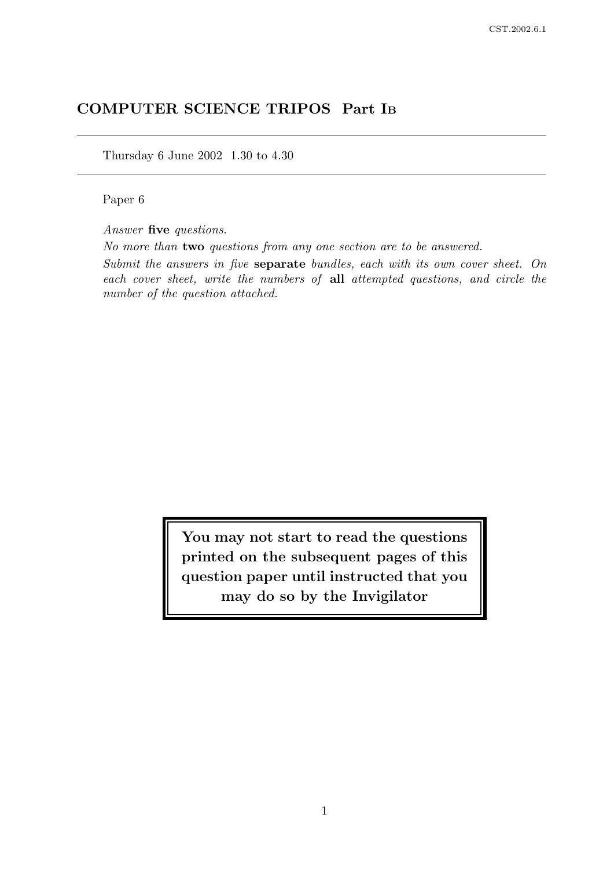# COMPUTER SCIENCE TRIPOS Part I<sup>B</sup>

Thursday 6 June 2002 1.30 to 4.30

Paper 6

Answer five questions.

No more than two questions from any one section are to be answered.

Submit the answers in five separate bundles, each with its own cover sheet. On each cover sheet, write the numbers of all attempted questions, and circle the number of the question attached.

> You may not start to read the questions printed on the subsequent pages of this question paper until instructed that you may do so by the Invigilator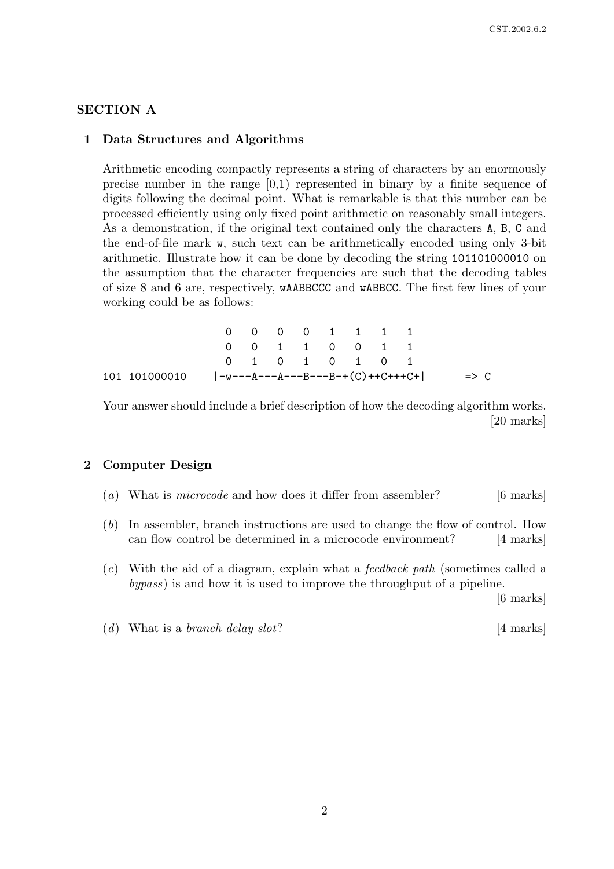### SECTION A

#### 1 Data Structures and Algorithms

Arithmetic encoding compactly represents a string of characters by an enormously precise number in the range  $[0,1)$  represented in binary by a finite sequence of digits following the decimal point. What is remarkable is that this number can be processed efficiently using only fixed point arithmetic on reasonably small integers. As a demonstration, if the original text contained only the characters A, B, C and the end-of-file mark w, such text can be arithmetically encoded using only 3-bit arithmetic. Illustrate how it can be done by decoding the string 101101000010 on the assumption that the character frequencies are such that the decoding tables of size 8 and 6 are, respectively, wAABBCCC and wABBCC. The first few lines of your working could be as follows:

0 0 0 0 1 1 1 1 0 0 1 1 0 0 1 1 0 1 0 1 0 1 0 1 101 101000010  $|-w---A---B---B---B-+(C)++C+++C+$  => C

Your answer should include a brief description of how the decoding algorithm works. [20 marks]

#### 2 Computer Design

- (a) What is *microcode* and how does it differ from assembler?  $[6 \text{ marks}]$
- (b) In assembler, branch instructions are used to change the flow of control. How can flow control be determined in a microcode environment? [4 marks]
- (c) With the aid of a diagram, explain what a feedback path (sometimes called a bypass) is and how it is used to improve the throughput of a pipeline.

[6 marks]

(d) What is a branch delay slot?  $[4 \text{ marks}]$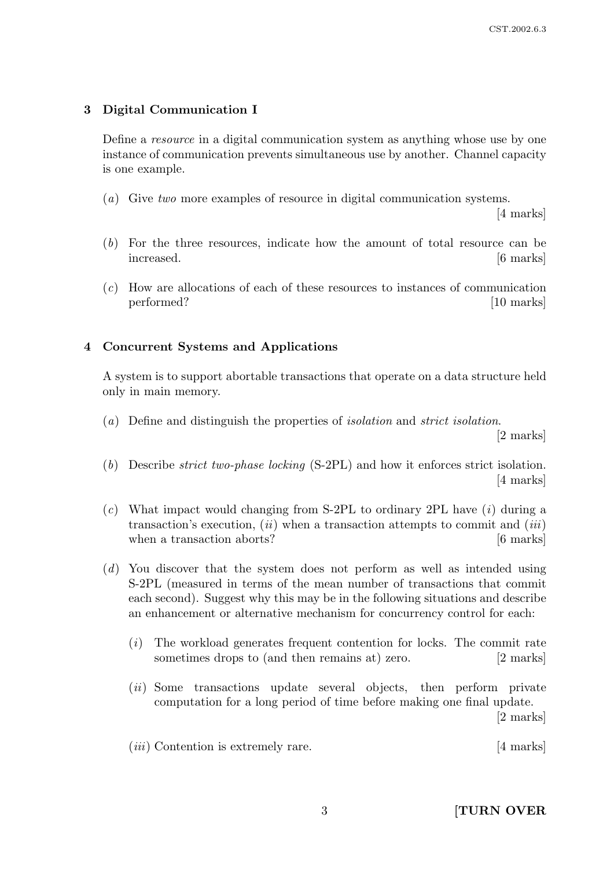# 3 Digital Communication I

Define a resource in a digital communication system as anything whose use by one instance of communication prevents simultaneous use by another. Channel capacity is one example.

(a) Give two more examples of resource in digital communication systems.

[4 marks]

- (b) For the three resources, indicate how the amount of total resource can be increased. [6 marks]
- (c) How are allocations of each of these resources to instances of communication performed? [10 marks]

# 4 Concurrent Systems and Applications

A system is to support abortable transactions that operate on a data structure held only in main memory.

(a) Define and distinguish the properties of isolation and strict isolation.

[2 marks]

- (b) Describe strict two-phase locking (S-2PL) and how it enforces strict isolation. [4 marks]
- $(c)$  What impact would changing from S-2PL to ordinary 2PL have  $(i)$  during a transaction's execution,  $(ii)$  when a transaction attempts to commit and  $(iii)$ when a transaction aborts? [6 marks]
- (d) You discover that the system does not perform as well as intended using S-2PL (measured in terms of the mean number of transactions that commit each second). Suggest why this may be in the following situations and describe an enhancement or alternative mechanism for concurrency control for each:
	- (i) The workload generates frequent contention for locks. The commit rate sometimes drops to (and then remains at) zero. [2 marks]
	- (*ii*) Some transactions update several objects, then perform private computation for a long period of time before making one final update. [2 marks]
	- (*iii*) Contention is extremely rare. [4 marks]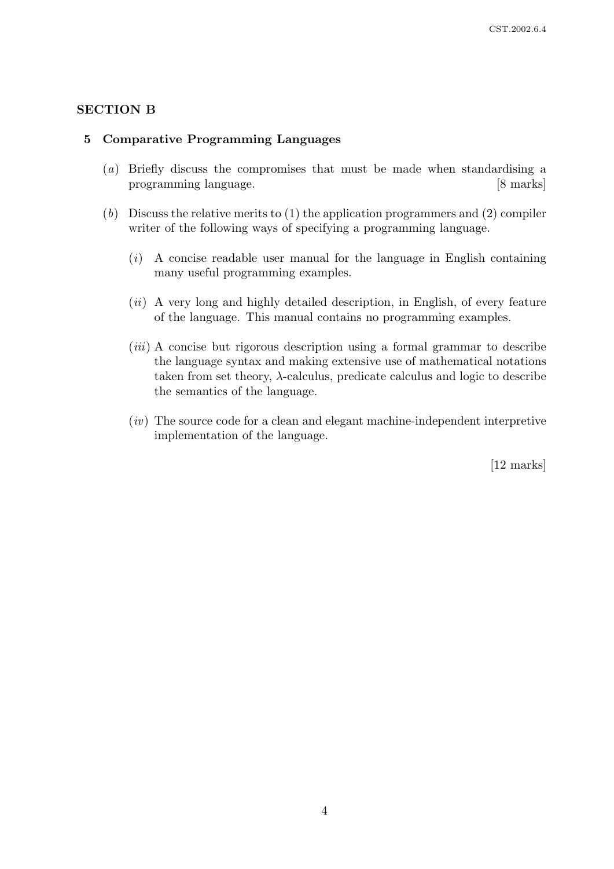# SECTION B

#### 5 Comparative Programming Languages

- (a) Briefly discuss the compromises that must be made when standardising a programming language. [8 marks]
- (b) Discuss the relative merits to (1) the application programmers and (2) compiler writer of the following ways of specifying a programming language.
	- $(i)$  A concise readable user manual for the language in English containing many useful programming examples.
	- $(ii)$  A very long and highly detailed description, in English, of every feature of the language. This manual contains no programming examples.
	- (iii) A concise but rigorous description using a formal grammar to describe the language syntax and making extensive use of mathematical notations taken from set theory,  $\lambda$ -calculus, predicate calculus and logic to describe the semantics of the language.
	- $(iv)$  The source code for a clean and elegant machine-independent interpretive implementation of the language.

[12 marks]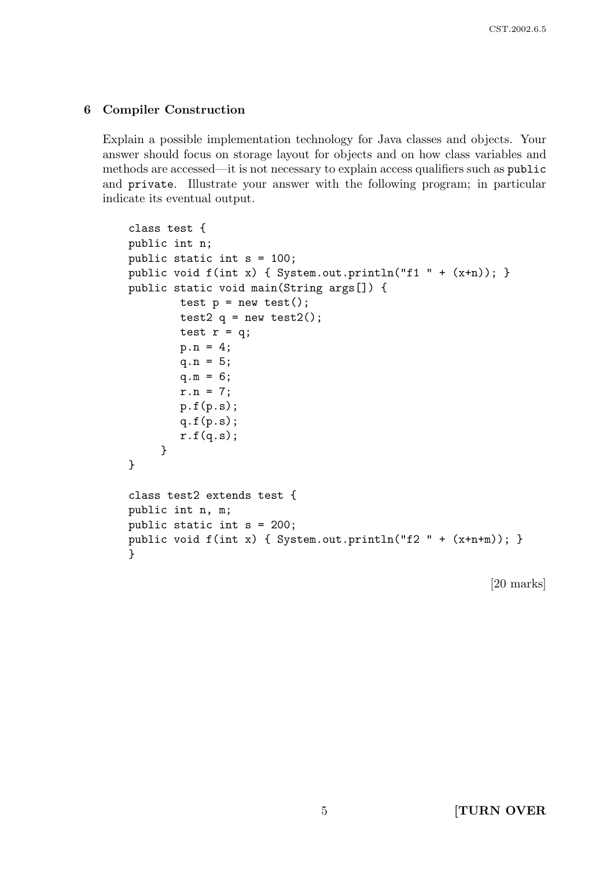## 6 Compiler Construction

Explain a possible implementation technology for Java classes and objects. Your answer should focus on storage layout for objects and on how class variables and methods are accessed—it is not necessary to explain access qualifiers such as public and private. Illustrate your answer with the following program; in particular indicate its eventual output.

```
class test {
public int n;
public static int s = 100;
public void f(int x) { System.out.println("f1 " + (x+n)); }
public static void main(String args[]) {
        test p = new test();
        test2 q = new test2();
        test r = q;
        p.n = 4;q.n = 5;q.m = 6;
        r.n = 7;p.f(p.s);q.f(p.s);r.f(q.s);}
}
class test2 extends test {
public int n, m;
public static int s = 200;
public void f(int x) { System.out.println("f2 " + (x+n+m)); }
}
```
[20 marks]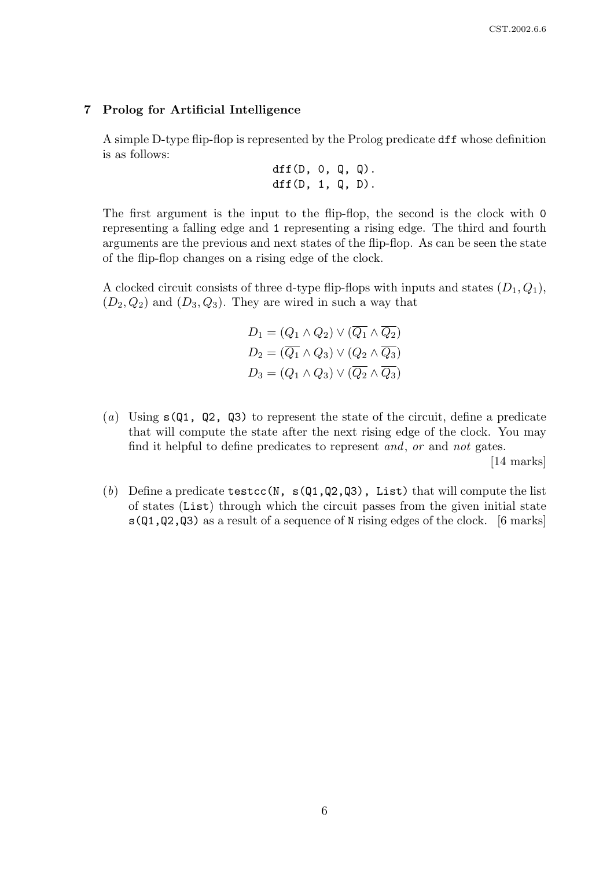#### 7 Prolog for Artificial Intelligence

A simple D-type flip-flop is represented by the Prolog predicate dff whose definition is as follows:

$$
dff(D, 0, Q, Q).
$$
  

$$
dff(D, 1, Q, D).
$$

The first argument is the input to the flip-flop, the second is the clock with 0 representing a falling edge and 1 representing a rising edge. The third and fourth arguments are the previous and next states of the flip-flop. As can be seen the state of the flip-flop changes on a rising edge of the clock.

A clocked circuit consists of three d-type flip-flops with inputs and states  $(D_1, Q_1)$ ,  $(D_2, Q_2)$  and  $(D_3, Q_3)$ . They are wired in such a way that

$$
D_1 = (Q_1 \land Q_2) \lor (\overline{Q_1} \land \overline{Q_2})
$$
  
\n
$$
D_2 = (\overline{Q_1} \land Q_3) \lor (Q_2 \land \overline{Q_3})
$$
  
\n
$$
D_3 = (Q_1 \land Q_3) \lor (\overline{Q_2} \land \overline{Q_3})
$$

(a) Using  $s(0, 1, 0, 0)$  to represent the state of the circuit, define a predicate that will compute the state after the next rising edge of the clock. You may find it helpful to define predicates to represent and, or and not gates.

[14 marks]

(b) Define a predicate testcc(N,  $s(Q1,Q2,Q3)$ , List) that will compute the list of states (List) through which the circuit passes from the given initial state  $s(Q1,Q2,Q3)$  as a result of a sequence of N rising edges of the clock. [6 marks]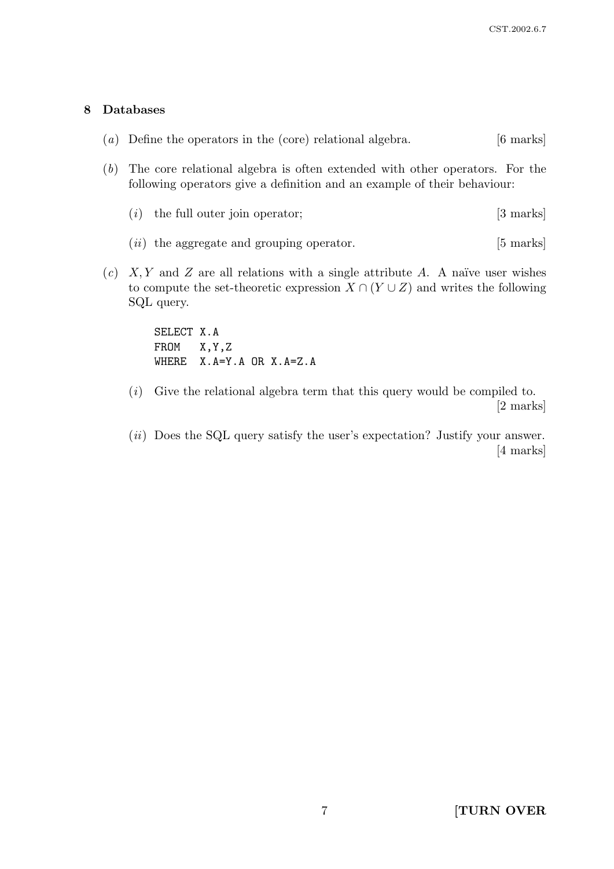# 8 Databases

- (a) Define the operators in the (core) relational algebra.  $[6 \text{ marks}]$
- (b) The core relational algebra is often extended with other operators. For the following operators give a definition and an example of their behaviour:
	- (*i*) the full outer join operator; [3 marks]
	- $(ii)$  the aggregate and grouping operator. [5 marks]
- (c)  $X, Y$  and Z are all relations with a single attribute A. A naïve user wishes to compute the set-theoretic expression  $X \cap (Y \cup Z)$  and writes the following SQL query.

SELECT X.A FROM X,Y,Z WHERE X.A=Y.A OR X.A=Z.A

- $(i)$  Give the relational algebra term that this query would be compiled to. [2 marks]
- (*ii*) Does the SQL query satisfy the user's expectation? Justify your answer. [4 marks]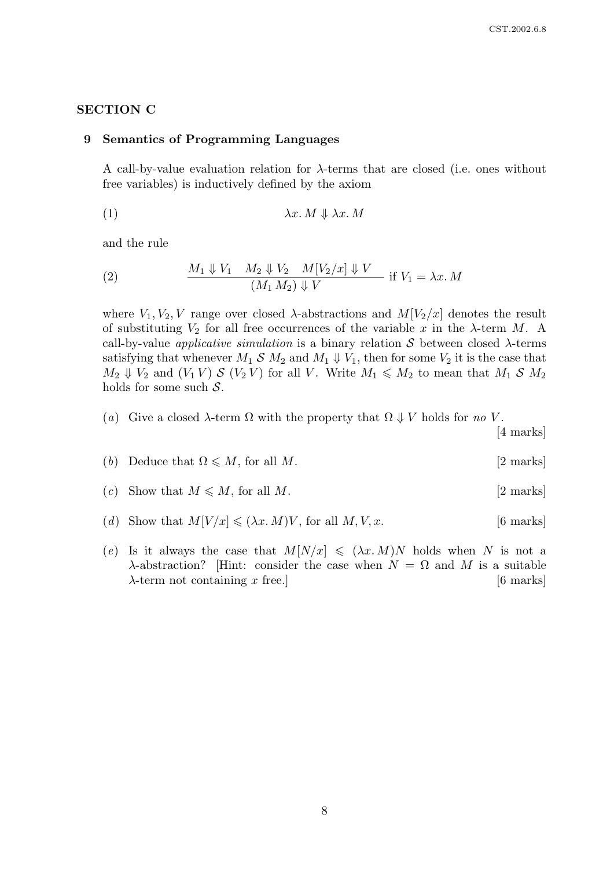### SECTION C

#### 9 Semantics of Programming Languages

A call-by-value evaluation relation for  $\lambda$ -terms that are closed (i.e. ones without free variables) is inductively defined by the axiom

$$
\lambda x. M \Downarrow \lambda x. M
$$

and the rule

(2) 
$$
\frac{M_1 \Downarrow V_1 \quad M_2 \Downarrow V_2 \quad M[V_2/x] \Downarrow V}{(M_1 M_2) \Downarrow V} \text{ if } V_1 = \lambda x. M
$$

where  $V_1, V_2, V$  range over closed  $\lambda$ -abstractions and  $M[V_2/x]$  denotes the result of substituting  $V_2$  for all free occurrences of the variable x in the  $\lambda$ -term M. A call-by-value *applicative simulation* is a binary relation S between closed  $\lambda$ -terms satisfying that whenever  $M_1 \mathcal{S} M_2$  and  $M_1 \Downarrow V_1$ , then for some  $V_2$  it is the case that  $M_2 \Downarrow V_2$  and  $(V_1 V)$  S  $(V_2 V)$  for all V. Write  $M_1 \leq M_2$  to mean that  $M_1 S M_2$ holds for some such  $S$ .

(a) Give a closed  $\lambda$ -term  $\Omega$  with the property that  $\Omega \downarrow V$  holds for no V.

[4 marks]

- (b) Deduce that  $\Omega \leq M$ , for all M. [2 marks]
- (c) Show that  $M \leqslant M$ , for all M. [2 marks]
- (d) Show that  $M[V/x] \leq (\lambda x. M)V$ , for all  $M, V, x$ . [6 marks]
- (e) Is it always the case that  $M[N/x] \leq (\lambda x. M)N$  holds when N is not a λ-abstraction? [Hint: consider the case when  $N = \Omega$  and M is a suitable  $\lambda$ -term not containing x free.] [6 marks]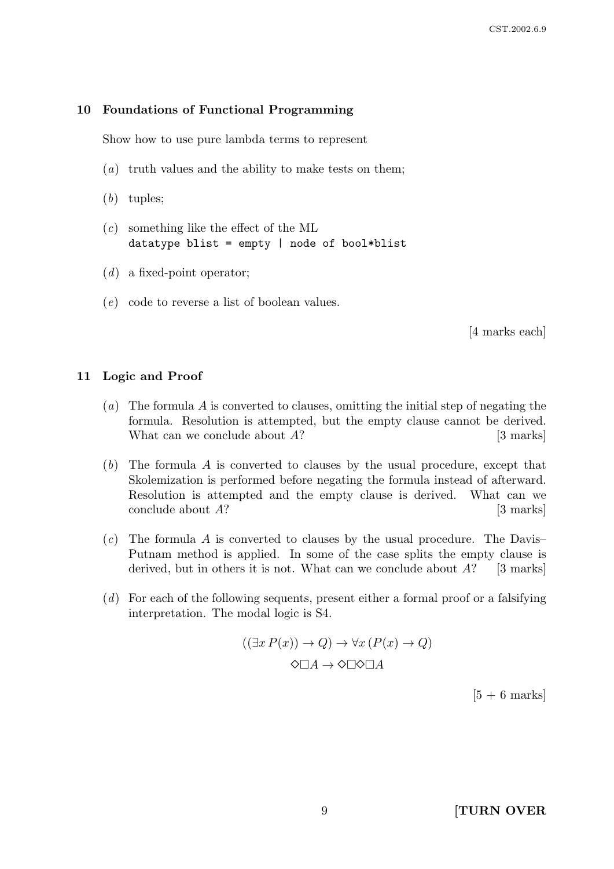#### 10 Foundations of Functional Programming

Show how to use pure lambda terms to represent

- (a) truth values and the ability to make tests on them;
- (b) tuples;
- (c) something like the effect of the ML datatype blist =  $empty \mid node$  of bool\*blist
- $(d)$  a fixed-point operator;
- (e) code to reverse a list of boolean values.

[4 marks each]

#### 11 Logic and Proof

- (a) The formula A is converted to clauses, omitting the initial step of negating the formula. Resolution is attempted, but the empty clause cannot be derived. What can we conclude about  $A$ ? [3 marks]
- (b) The formula A is converted to clauses by the usual procedure, except that Skolemization is performed before negating the formula instead of afterward. Resolution is attempted and the empty clause is derived. What can we conclude about A? [3 marks]
- $(c)$  The formula A is converted to clauses by the usual procedure. The Davis– Putnam method is applied. In some of the case splits the empty clause is derived, but in others it is not. What can we conclude about  $A$ ? [3 marks]
- (d) For each of the following sequents, present either a formal proof or a falsifying interpretation. The modal logic is S4.

$$
((\exists x P(x)) \to Q) \to \forall x (P(x) \to Q)
$$

$$
\Diamond \Box A \to \Diamond \Box \Diamond \Box A
$$

 $[5 + 6$  marks

9 **[TURN OVER**